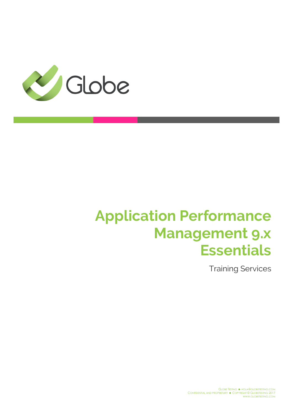

# **Application Performance Management 9.x Essentials**

Training Services

GLOBE TESTING . HOLA@GLOBETESTING.COM CONFIDENTIAL AND PROPRIETARY . COPYRIGHT © GLOBETESTING 2017 WWW.GLOBETESTING.COM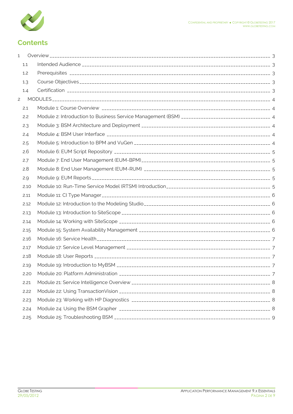

## **Contents**

| 1              |      |  |
|----------------|------|--|
|                | 1.1  |  |
|                | 1.2  |  |
|                | 1.3  |  |
|                | 1.4  |  |
| $\overline{c}$ |      |  |
|                | 2.1  |  |
|                | 2.2  |  |
|                | 2.3  |  |
|                | 2.4  |  |
|                | 2.5  |  |
|                | 2.6  |  |
|                | 2.7  |  |
|                | 2.8  |  |
|                | 2.9  |  |
|                | 2.10 |  |
|                | 2.11 |  |
|                | 2.12 |  |
|                | 2.13 |  |
|                | 2.14 |  |
|                | 2.15 |  |
|                | 2.16 |  |
|                | 2.17 |  |
|                | 2.18 |  |
|                | 2.19 |  |
|                | 2.20 |  |
|                | 2.21 |  |
|                | 2.22 |  |
|                | 2.23 |  |
|                | 2.24 |  |
|                | 2.25 |  |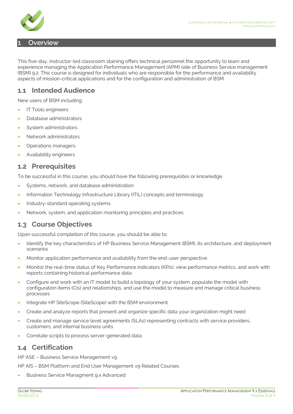

#### <span id="page-2-0"></span>**1 Overview**

This five-day, instructor-led classroom staining offers technical personnel the opportunity to learn and experience managing the Application Performance Management (APM) side of Business Service management (BSM) 9.2. This course is designed for individuals who are responsible for the performance and availability aspects of mission-critical applications and for the configuration and administration of BSM.

#### <span id="page-2-1"></span>**1.1 Intended Audience**

New users of BSM including:

- IT Tools engineers
- Database administrators
- System administrators
- Network administrators
- Operations managers
- Availability engineers

#### <span id="page-2-2"></span>**1.2 Prerequisites**

To be successful in this course, you should have the following prerequisites or knowledge.

- Systems, network, and database administration
- Information Technology Infrastructure Library (ITIL) concepts and terminology
- Industry-standard operating systems
- Network, system, and application monitoring principles and practices

#### <span id="page-2-3"></span>**1.3 Course Objectives**

Upon successful completion of this course, you should be able to:

- Identify the key characteristics of HP Business Service Management (BSM), its architecture, and deployment scenarios
- Monitor application performance and availability from the end-user perspective
- Monitor the real-time status of Key Performance Indicators (KPIs), view performance metrics, and work with reports containing historical performance data
- Configure and work with an IT model to build a topology of your system, populate the model with configuration items (CIs) and relationships, and use the model to measure and manage critical business processes
- Integrate HP SiteScope (SiteScope) with the BSM environment
- Create and analyze reports that present and organize specific data your organization might need
- Create and manage service level agreements (SLAs) representing contracts with service providers, customers, and internal business units
- Correlate scripts to process server-generated data

#### <span id="page-2-4"></span>**1.4 Certification**

HP ASE – Business Service Management v9

HP AIS - BSM Platform and End User Management v9 Related Courses

• Business Service Managment 9.x Advanced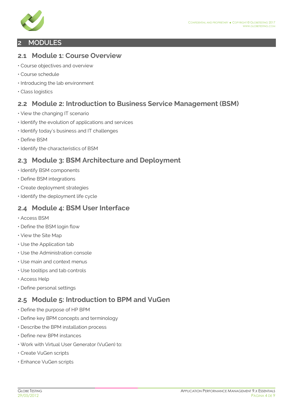

#### <span id="page-3-0"></span>**2 MODULES**

#### <span id="page-3-1"></span>**2.1 Module 1: Course Overview**

- Course objectives and overview
- Course schedule
- Introducing the lab environment
- Class logistics

## <span id="page-3-2"></span>**2.2 Module 2: Introduction to Business Service Management (BSM)**

- View the changing IT scenario
- Identify the evolution of applications and services
- Identify today's business and IT challenges
- Define BSM
- Identify the characteristics of BSM

## <span id="page-3-3"></span>**2.3 Module 3: BSM Architecture and Deployment**

- Identify BSM components
- Define BSM integrations
- Create deployment strategies
- Identify the deployment life cycle

#### <span id="page-3-4"></span>**2.4 Module 4: BSM User Interface**

- Access BSM
- Define the BSM login flow
- View the Site Map
- Use the Application tab
- Use the Administration console
- Use main and context menus
- Use tooltips and tab controls
- Access Help
- Define personal settings

## <span id="page-3-5"></span>**2.5 Module 5: Introduction to BPM and VuGen**

- Define the purpose of HP BPM
- Define key BPM concepts and terminology
- Describe the BPM installation process
- Define new BPM instances
- Work with Virtual User Generator (VuGen) to:
- Create VuGen scripts
- Enhance VuGen scripts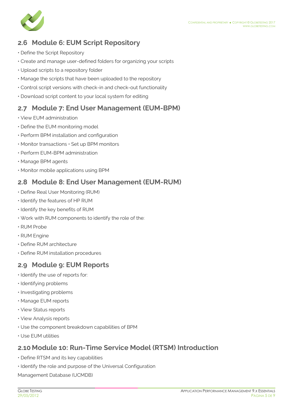

## <span id="page-4-0"></span>**2.6 Module 6: EUM Script Repository**

- Define the Script Repository
- Create and manage user-defined folders for organizing your scripts
- Upload scripts to a repository folder
- Manage the scripts that have been uploaded to the repository
- Control script versions with check-in and check-out functionality
- Download script content to your local system for editing

## <span id="page-4-1"></span>**2.7 Module 7: End User Management (EUM-BPM)**

- View EUM administration
- Define the EUM monitoring model
- Perform BPM installation and configuration
- Monitor transactions Set up BPM monitors
- Perform EUM-BPM administration
- Manage BPM agents
- Monitor mobile applications using BPM

#### <span id="page-4-2"></span>**2.8 Module 8: End User Management (EUM-RUM)**

- Define Real User Monitoring (RUM)
- Identify the features of HP RUM
- Identify the key benefits of RUM
- Work with RUM components to identify the role of the:
- RUM Probe
- RUM Engine
- Define RUM architecture
- Define RUM installation procedures

## <span id="page-4-3"></span>**2.9 Module 9: EUM Reports**

- Identify the use of reports for:
- Identifying problems
- Investigating problems
- Manage EUM reports
- View Status reports
- View Analysis reports
- Use the component breakdown capabilities of BPM
- Use EUM utilities

## <span id="page-4-4"></span>**2.10 Module 10: Run-Time Service Model (RTSM) Introduction**

- Define RTSM and its key capabilities
- Identify the role and purpose of the Universal Configuration

Management Database (UCMDB)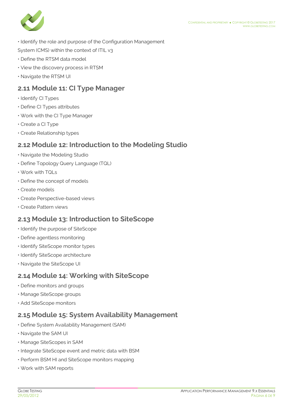

- Identify the role and purpose of the Configuration Management
- System (CMS) within the context of ITIL v3
- Define the RTSM data model
- View the discovery process in RTSM
- Navigate the RTSM UI

## <span id="page-5-0"></span>**2.11 Module 11: CI Type Manager**

- Identify CI Types
- Define CI Types attributes
- Work with the CI Type Manager
- Create a CI Type
- Create Relationship types

#### <span id="page-5-1"></span>**2.12 Module 12: Introduction to the Modeling Studio**

- Navigate the Modeling Studio
- Define Topology Query Language (TQL)
- Work with TQLs
- Define the concept of models
- Create models
- Create Perspective-based views
- Create Pattern views

## <span id="page-5-2"></span>**2.13 Module 13: Introduction to SiteScope**

- Identify the purpose of SiteScope
- Define agentless monitoring
- Identify SiteScope monitor types
- Identify SiteScope architecture
- Navigate the SiteScope UI

#### <span id="page-5-3"></span>**2.14 Module 14: Working with SiteScope**

- Define monitors and groups
- Manage SiteScope groups
- Add SiteScope monitors

## <span id="page-5-4"></span>**2.15 Module 15: System Availability Management**

- Define System Availability Management (SAM)
- Navigate the SAM UI
- Manage SiteScopes in SAM
- Integrate SiteScope event and metric data with BSM
- Perform BSM HI and SiteScope monitors mapping
- Work with SAM reports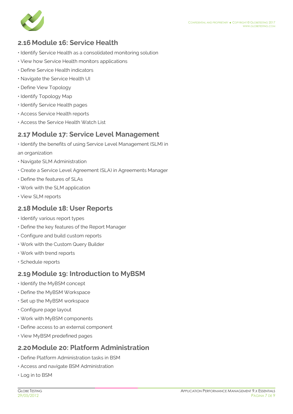

## <span id="page-6-0"></span>**2.16 Module 16: Service Health**

- Identify Service Health as a consolidated monitoring solution
- View how Service Health monitors applications
- Define Service Health indicators
- Navigate the Service Health UI
- Define View Topology
- Identify Topology Map
- Identify Service Health pages
- Access Service Health reports
- Access the Service Health Watch List

#### <span id="page-6-1"></span>**2.17 Module 17: Service Level Management**

- Identify the benefits of using Service Level Management (SLM) in an organization
- Navigate SLM Administration
- Create a Service Level Agreement (SLA) in Agreements Manager
- Define the features of SLAs
- Work with the SLM application
- View SLM reports

#### <span id="page-6-2"></span>**2.18 Module 18: User Reports**

- Identify various report types
- Define the key features of the Report Manager
- Configure and build custom reports
- Work with the Custom Query Builder
- Work with trend reports
- Schedule reports

#### <span id="page-6-3"></span>**2.19 Module 19: Introduction to MyBSM**

- Identify the MyBSM concept
- Define the MyBSM Workspace
- Set up the MyBSM workspace
- Configure page layout
- Work with MyBSM components
- Define access to an external component
- View MyBSM predefined pages

#### <span id="page-6-4"></span>**2.20Module 20: Platform Administration**

- Define Platform Administration tasks in BSM
- Access and navigate BSM Administration
- Log in to BSM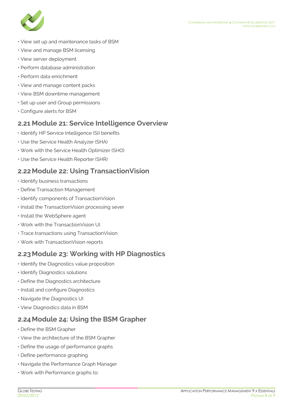

- View set up and maintenance tasks of BSM
- View and manage BSM licensing
- View server deployment
- Perform database administration
- Perform data enrichment
- View and manage content packs
- View BSM downtime management
- Set up user and Group permissions
- Configure alerts for BSM

## <span id="page-7-0"></span>**2.21 Module 21: Service Intelligence Overview**

- Identify HP Service Intelligence (SI) benefits
- Use the Service Health Analyzer (SHA)
- Work with the Service Health Optimizer (SHO)
- Use the Service Health Reporter (SHR)

## <span id="page-7-1"></span>**2.22Module 22: Using TransactionVision**

- Identify business transactions
- Define Transaction Management
- Identify components of TransactionVision
- Install the TransactionVision processing sever
- Install the WebSphere agent
- Work with the TransactionVision UI
- Trace transactions using TransactionVision
- Work with TransactionVision reports

## <span id="page-7-2"></span>**2.23Module 23: Working with HP Diagnostics**

- Identify the Diagnostics value proposition
- Identify Diagnostics solutions
- Define the Diagnostics architecture
- Install and configure Diagnostics
- Navigate the Diagnostics UI
- View Diagnostics data in BSM

## <span id="page-7-3"></span>**2.24Module 24: Using the BSM Grapher**

- Define the BSM Grapher
- View the architecture of the BSM Grapher
- Define the usage of performance graphs
- Define performance graphing
- Navigate the Performance Graph Manager
- Work with Performance graphs to: